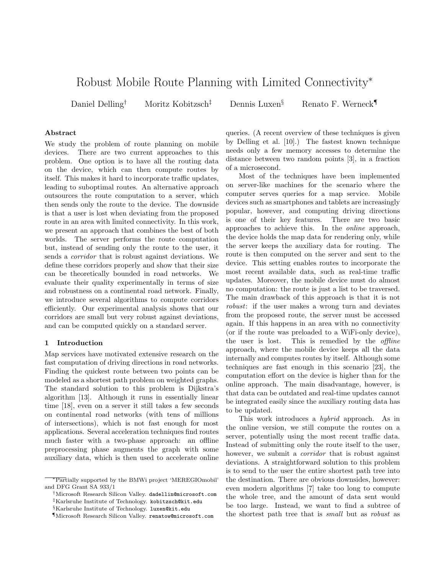# Robust Mobile Route Planning with Limited Connectivity<sup>∗</sup>

Daniel Delling<sup>†</sup> Moritz Kobitzsch<sup>‡</sup> Dennis Luxen<sup>§</sup> Renato F. Werneck

## Abstract

We study the problem of route planning on mobile devices. There are two current approaches to this problem. One option is to have all the routing data on the device, which can then compute routes by itself. This makes it hard to incorporate traffic updates, leading to suboptimal routes. An alternative approach outsources the route computation to a server, which then sends only the route to the device. The downside is that a user is lost when deviating from the proposed route in an area with limited connectivity. In this work, we present an approach that combines the best of both worlds. The server performs the route computation but, instead of sending only the route to the user, it sends a corridor that is robust against deviations. We define these corridors properly and show that their size can be theoretically bounded in road networks. We evaluate their quality experimentally in terms of size and robustness on a continental road network. Finally, we introduce several algorithms to compute corridors efficiently. Our experimental analysis shows that our corridors are small but very robust against deviations, and can be computed quickly on a standard server.

## 1 Introduction

Map services have motivated extensive research on the fast computation of driving directions in road networks. Finding the quickest route between two points can be modeled as a shortest path problem on weighted graphs. The standard solution to this problem is Dijkstra's algorithm [13]. Although it runs in essentially linear time [18], even on a server it still takes a few seconds on continental road networks (with tens of millions of intersections), which is not fast enough for most applications. Several acceleration techniques find routes much faster with a two-phase approach: an offline preprocessing phase augments the graph with some auxiliary data, which is then used to accelerate online

queries. (A recent overview of these techniques is given by Delling et al. [10].) The fastest known technique needs only a few memory accesses to determine the distance between two random points [3], in a fraction of a microsecond.

Most of the techniques have been implemented on server-like machines for the scenario where the computer serves queries for a map service. Mobile devices such as smartphones and tablets are increasingly popular, however, and computing driving directions is one of their key features. There are two basic approaches to achieve this. In the online approach, the device holds the map data for rendering only, while the server keeps the auxiliary data for routing. The route is then computed on the server and sent to the device. This setting enables routes to incorporate the most recent available data, such as real-time traffic updates. Moreover, the mobile device must do almost no computation: the route is just a list to be traversed. The main drawback of this approach is that it is not robust: if the user makes a wrong turn and deviates from the proposed route, the server must be accessed again. If this happens in an area with no connectivity (or if the route was preloaded to a WiFi-only device), the user is lost. This is remedied by the *offline* approach, where the mobile device keeps all the data internally and computes routes by itself. Although some techniques are fast enough in this scenario [23], the computation effort on the device is higher than for the online approach. The main disadvantage, however, is that data can be outdated and real-time updates cannot be integrated easily since the auxiliary routing data has to be updated.

This work introduces a hybrid approach. As in the online version, we still compute the routes on a server, potentially using the most recent traffic data. Instead of submitting only the route itself to the user, however, we submit a *corridor* that is robust against deviations. A straightforward solution to this problem is to send to the user the entire shortest path tree into the destination. There are obvious downsides, however: even modern algorithms [7] take too long to compute the whole tree, and the amount of data sent would be too large. Instead, we want to find a subtree of the shortest path tree that is small but as robust as

<sup>∗</sup>Partially supported by the BMWi project 'MEREGIOmobil' and DFG Grant SA 933/1

<sup>†</sup>Microsoft Research Silicon Valley. dadellin@microsoft.com ‡Karlsruhe Institute of Technology. kobitzsch@kit.edu

<sup>§</sup>Karlsruhe Institute of Technology. luxen@kit.edu

<sup>¶</sup>Microsoft Research Silicon Valley. renatow@microsoft.com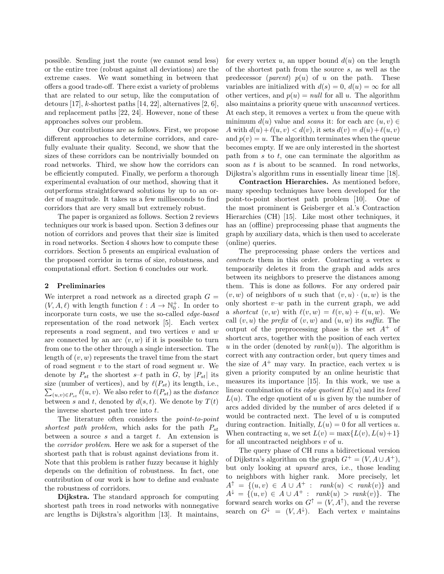possible. Sending just the route (we cannot send less) or the entire tree (robust against all deviations) are the extreme cases. We want something in between that offers a good trade-off. There exist a variety of problems that are related to our setup, like the computation of detours [17], k-shortest paths [14, 22], alternatives [2, 6], and replacement paths [22, 24]. However, none of these approaches solves our problem.

Our contributions are as follows. First, we propose different approaches to determine corridors, and carefully evaluate their quality. Second, we show that the sizes of these corridors can be nontrivially bounded on road networks. Third, we show how the corridors can be efficiently computed. Finally, we perform a thorough experimental evaluation of our method, showing that it outperforms straightforward solutions by up to an order of magnitude. It takes us a few milliseconds to find corridors that are very small but extremely robust.

The paper is organized as follows. Section 2 reviews techniques our work is based upon. Section 3 defines our notion of corridors and proves that their size is limited in road networks. Section 4 shows how to compute these corridors. Section 5 presents an empirical evaluation of the proposed corridor in terms of size, robustness, and computational effort. Section 6 concludes our work.

## 2 Preliminaries

We interpret a road network as a directed graph  $G =$  $(V, A, \ell)$  with length function  $\ell : A \to \mathbb{N}_0^+$ . In order to incorporate turn costs, we use the so-called edge-based representation of the road network [5]. Each vertex represents a road segment, and two vertices  $v$  and  $w$ are connected by an arc  $(v, w)$  if it is possible to turn from one to the other through a single intersection. The length of  $(v, w)$  represents the travel time from the start of road segment  $v$  to the start of road segment  $w$ . We denote by  $P_{st}$  the shortest  $s-t$  path in G, by  $|P_{st}|$  its size (number of vertices), and by  $\ell(P_{st})$  its length, i.e.,  $\sum_{(u,v)\in P_{st}} \ell(u,v)$ . We also refer to  $\ell(P_{st})$  as the *distance* between s and t, denoted by  $d(s, t)$ . We denote by  $T(t)$ the inverse shortest path tree into  $t$ .

The literature often considers the point-to-point shortest path problem, which asks for the path  $P_{st}$ between a source  $s$  and a target  $t$ . An extension is the corridor problem. Here we ask for a superset of the shortest path that is robust against deviations from it. Note that this problem is rather fuzzy because it highly depends on the definition of robustness. In fact, one contribution of our work is how to define and evaluate the robustness of corridors.

Dijkstra. The standard approach for computing shortest path trees in road networks with nonnegative arc lengths is Dijkstra's algorithm [13]. It maintains,

for every vertex u, an upper bound  $d(u)$  on the length of the shortest path from the source s, as well as the predecessor (*parent*)  $p(u)$  of u on the path. These variables are initialized with  $d(s) = 0, d(u) = \infty$  for all other vertices, and  $p(u) = null$  for all u. The algorithm also maintains a priority queue with unscanned vertices. At each step, it removes a vertex  $u$  from the queue with minimum  $d(u)$  value and scans it: for each arc  $(u, v) \in$ A with  $d(u)+\ell(u, v) < d(v)$ , it sets  $d(v) = d(u)+\ell(u, v)$ and  $p(v) = u$ . The algorithm terminates when the queue becomes empty. If we are only interested in the shortest path from  $s$  to  $t$ , one can terminate the algorithm as soon as  $t$  is about to be scanned. In road networks, Dijkstra's algorithm runs in essentially linear time [18].

Contraction Hierarchies. As mentioned before, many speedup techniques have been developed for the point-to-point shortest path problem [10]. One of the most prominent is Geisberger et al.'s Contraction Hierarchies (CH) [15]. Like most other techniques, it has an (offline) preprocessing phase that augments the graph by auxiliary data, which is then used to accelerate (online) queries.

The preprocessing phase orders the vertices and contracts them in this order. Contracting a vertex u temporarily deletes it from the graph and adds arcs between its neighbors to preserve the distances among them. This is done as follows. For any ordered pair  $(v, w)$  of neighbors of u such that  $(v, u) \cdot (u, w)$  is the only shortest  $v-w$  path in the current graph, we add a shortcut  $(v, w)$  with  $\ell(v, w) = \ell(v, u) + \ell(u, w)$ . We call  $(v, u)$  the *prefix* of  $(v, w)$  and  $(u, w)$  its *suffix*. The output of the preprocessing phase is the set  $A^+$  of shortcut arcs, together with the position of each vertex u in the order (denoted by  $rank(u)$ ). The algorithm is correct with any contraction order, but query times and the size of  $A^+$  may vary. In practice, each vertex u is given a priority computed by an online heuristic that measures its importance [15]. In this work, we use a linear combination of its *edge quotient*  $E(u)$  and its *level*  $L(u)$ . The edge quotient of u is given by the number of arcs added divided by the number of arcs deleted if u would be contracted next. The level of  $u$  is computed during contraction. Initially,  $L(u) = 0$  for all vertices u. When contracting u, we set  $L(v) = \max\{L(v), L(u)+1\}$ for all uncontracted neighbors  $v$  of  $u$ .

The query phase of CH runs a bidirectional version of Dijkstra's algorithm on the graph  $G^+ = (V, A \cup A^+),$ but only looking at upward arcs, i.e., those leading to neighbors with higher rank. More precisely, let  $A^{\uparrow} = \{(u, v) \in A \cup A^+ : rank(u) < rank(v)\}\$ and  $A^{\downarrow} = \{(u, v) \in A \cup A^+ : rank(u) > rank(v)\}.$  The forward search works on  $G^{\uparrow} = (V, A^{\uparrow})$ , and the reverse search on  $G^{\downarrow} = (V, A^{\downarrow})$ . Each vertex v maintains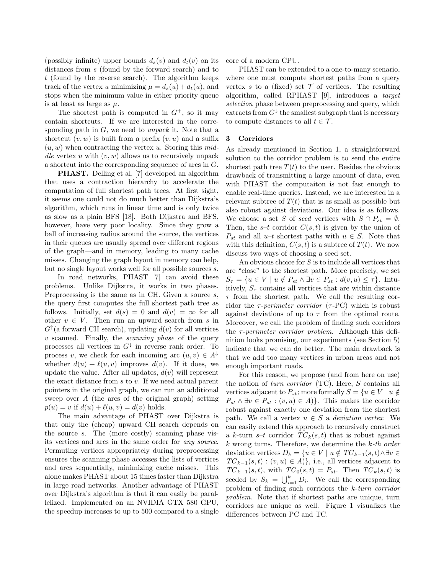(possibly infinite) upper bounds  $d_s(v)$  and  $d_t(v)$  on its distances from s (found by the forward search) and to t (found by the reverse search). The algorithm keeps track of the vertex u minimizing  $\mu = d_s(u) + d_t(u)$ , and stops when the minimum value in either priority queue is at least as large as  $\mu$ .

The shortest path is computed in  $G^+$ , so it may contain shortcuts. If we are interested in the corresponding path in  $G$ , we need to *unpack* it. Note that a shortcut  $(v, w)$  is built from a prefix  $(v, u)$  and a suffix  $(u, w)$  when contracting the vertex u. Storing this middle vertex u with  $(v, w)$  allows us to recursively unpack a shortcut into the corresponding sequence of arcs in G.

PHAST. Delling et al. [7] developed an algorithm that uses a contraction hierarchy to accelerate the computation of full shortest path trees. At first sight, it seems one could not do much better than Dijkstra's algorithm, which runs in linear time and is only twice as slow as a plain BFS [18]. Both Dijkstra and BFS, however, have very poor locality. Since they grow a ball of increasing radius around the source, the vertices in their queues are usually spread over different regions of the graph—and in memory, leading to many cache misses. Changing the graph layout in memory can help, but no single layout works well for all possible sources s.

In road networks, PHAST [7] can avoid these problems. Unlike Dijkstra, it works in two phases. Preprocessing is the same as in CH. Given a source s, the query first computes the full shortest path tree as follows. Initially, set  $d(s) = 0$  and  $d(v) = \infty$  for all other  $v \in V$ . Then run an upward search from s in  $G^{\uparrow}$ (a forward CH search), updating  $d(v)$  for all vertices  $v$  scanned. Finally, the *scanning phase* of the query processes all vertices in  $G^{\downarrow}$  in reverse rank order. To process v, we check for each incoming arc  $(u, v) \in A^{\downarrow}$ whether  $d(u) + \ell(u, v)$  improves  $d(v)$ . If it does, we update the value. After all updates,  $d(v)$  will represent the exact distance from  $s$  to  $v$ . If we need actual parent pointers in the original graph, we can run an additional sweep over A (the arcs of the original graph) setting  $p(u) = v$  if  $d(u) + \ell(u, v) = d(v)$  holds.

The main advantage of PHAST over Dijkstra is that only the (cheap) upward CH search depends on the source s. The (more costly) scanning phase visits vertices and arcs in the same order for any source. Permuting vertices appropriately during preprocessing ensures the scanning phase accesses the lists of vertices and arcs sequentially, minimizing cache misses. This alone makes PHAST about 15 times faster than Dijkstra in large road networks. Another advantage of PHAST over Dijkstra's algorithm is that it can easily be parallelized. Implemented on an NVIDIA GTX 580 GPU, the speedup increases to up to 500 compared to a single core of a modern CPU.

PHAST can be extended to a one-to-many scenario, where one must compute shortest paths from a query vertex s to a (fixed) set  $\mathcal T$  of vertices. The resulting algorithm, called RPHAST [9], introduces a target selection phase between preprocessing and query, which extracts from  $G^{\downarrow}$  the smallest subgraph that is necessary to compute distances to all  $t \in \mathcal{T}$ .

## 3 Corridors

As already mentioned in Section 1, a straightforward solution to the corridor problem is to send the entire shortest path tree  $T(t)$  to the user. Besides the obvious drawback of transmitting a large amount of data, even with PHAST the computaiton is not fast enough to enable real-time queries. Instead, we are interested in a relevant subtree of  $T(t)$  that is as small as possible but also robust against deviations. Our idea is as follows. We choose a set S of seed vertices with  $S \cap P_{st} = \emptyset$ . Then, the s-t corridor  $C(s, t)$  is given by the union of  $P_{st}$  and all  $u-t$  shortest paths with  $u \in S$ . Note that with this definition,  $C(s, t)$  is a subtree of  $T(t)$ . We now discuss two ways of choosing a seed set.

An obvious choice for  $S$  is to include all vertices that are "close" to the shortest path. More precisely, we set  $S_{\tau} = \{u \in V \mid u \notin P_{st} \land \exists v \in P_{st} : d(v, u) \leq \tau\}.$  Intuitively,  $S_{\tau}$  contains all vertices that are within distance  $\tau$  from the shortest path. We call the resulting corridor the  $\tau$ -perimeter corridor ( $\tau$ -PC) which is robust against deviations of up to  $\tau$  from the optimal route. Moreover, we call the problem of finding such corridors the  $\tau$ -perimeter corridor problem. Although this definition looks promising, our experiments (see Section 5) indicate that we can do better. The main drawback is that we add too many vertices in urban areas and not enough important roads.

For this reason, we propose (and from here on use) the notion of *turn corridor*  $(TC)$ . Here, S contains all vertices adjacent to  $P_{st}$ ; more formally  $S = \{u \in V \mid u \notin V\}$  $P_{st} \wedge \exists v \in P_{st} : (v, u) \in A$ }. This makes the corridor robust against exactly one deviation from the shortest path. We call a vertex  $u \in S$  a *deviation vertex*. We can easily extend this approach to recursively construct a k-turn s–t corridor  $TC_k(s,t)$  that is robust against  $k$  wrong turns. Therefore, we determine the  $k$ -th order deviation vertices  $D_k = \{u \in V \mid u \notin TC_{k-1}(s,t) \land \exists v \in$  $TC_{k-1}(s,t) : (v, u) \in A$ }, i.e., all vertices adjacent to  $TC_{k-1}(s,t)$ , with  $TC_0(s,t) = P_{st}$ . Then  $TC_k(s,t)$  is seeded by  $S_k = \bigcup_{i=1}^k D_i$ . We call the corresponding problem of finding such corridors the k-turn corridor problem. Note that if shortest paths are unique, turn corridors are unique as well. Figure 1 visualizes the differences between PC and TC.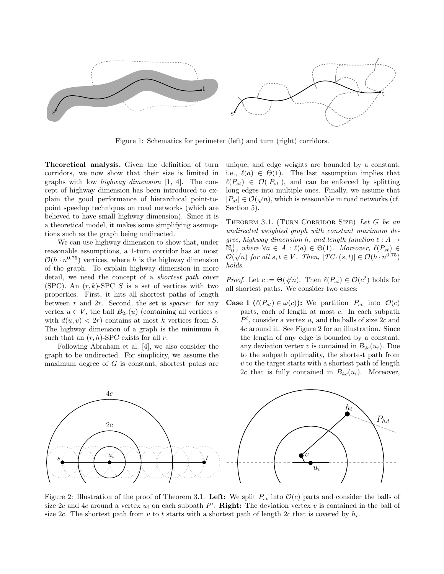

Figure 1: Schematics for perimeter (left) and turn (right) corridors.

Theoretical analysis. Given the definition of turn corridors, we now show that their size is limited in graphs with low highway dimension  $[1, 4]$ . The concept of highway dimension has been introduced to explain the good performance of hierarchical point-topoint speedup techniques on road networks (which are believed to have small highway dimension). Since it is a theoretical model, it makes some simplifying assumptions such as the graph being undirected.

We can use highway dimension to show that, under reasonable assumptions, a 1-turn corridor has at most  $\mathcal{O}(h \cdot n^{0.75})$  vertices, where h is the highway dimension of the graph. To explain highway dimension in more detail, we need the concept of a shortest path cover (SPC). An  $(r, k)$ -SPC S is a set of vertices with two properties. First, it hits all shortest paths of length between  $r$  and  $2r$ . Second, the set is *sparse*: for any vertex  $u \in V$ , the ball  $B_{2r}(u)$  (containing all vertices v with  $d(u, v) < 2r$  contains at most k vertices from S. The highway dimension of a graph is the minimum  $h$ such that an  $(r, h)$ -SPC exists for all r.

Following Abraham et al. [4], we also consider the graph to be undirected. For simplicity, we assume the maximum degree of  $G$  is constant, shortest paths are unique, and edge weights are bounded by a constant, i.e.,  $\ell(a) \in \Theta(1)$ . The last assumption implies that  $\ell(P_{st}) \in \mathcal{O}(|P_{st}|)$ , and can be enforced by splitting long edges into multiple ones. Finally, we assume that  $|P_{st}| \in \mathcal{O}(\sqrt{n})$ , which is reasonable in road networks (cf. Section 5).

THEOREM 3.1. (TURN CORRIDOR SIZE) Let  $G$  be an undirected weighted graph with constant maximum degree, highway dimension h, and length function  $\ell : A \rightarrow$  $\mathbb{N}_0^+$ , where  $\forall a \in A : \ell(a) \in \Theta(1)$ . Moreover,  $\ell(P_{st}) \in \mathbb{N}_0$  $\mathcal{O}(\sqrt{n})$  for all  $s, t \in V$ . Then,  $|TC_1(s,t)| \in \mathcal{O}(h \cdot n^{0.75})$ holds.

*Proof.* Let  $c := \Theta(\sqrt[4]{n})$ . Then  $\ell(P_{st}) \in \mathcal{O}(c^2)$  holds for all shortest paths. We consider two cases:

**Case 1** ( $\ell(P_{st}) \in \omega(c)$ ): We partition  $P_{st}$  into  $\mathcal{O}(c)$ parts, each of length at most c. In each subpath  $P<sup>i</sup>$ , consider a vertex  $u<sub>i</sub>$  and the balls of size 2c and 4c around it. See Figure 2 for an illustration. Since the length of any edge is bounded by a constant, any deviation vertex v is contained in  $B_{2c}(u_i)$ . Due to the subpath optimality, the shortest path from  $v$  to the target starts with a shortest path of length 2c that is fully contained in  $B_{4c}(u_i)$ . Moreover,



Figure 2: Illustration of the proof of Theorem 3.1. Left: We split  $P_{st}$  into  $\mathcal{O}(c)$  parts and consider the balls of size 2c and 4c around a vertex  $u_i$  on each subpath  $P^i$ . Right: The deviation vertex v is contained in the ball of size 2c. The shortest path from v to t starts with a shortest path of length 2c that is covered by  $h_i$ .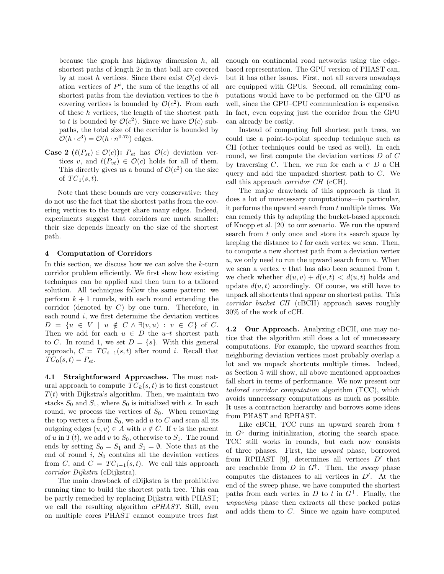because the graph has highway dimension  $h$ , all shortest paths of length 2c in that ball are covered by at most h vertices. Since there exist  $\mathcal{O}(c)$  deviation vertices of  $P<sup>i</sup>$ , the sum of the lengths of all shortest paths from the deviation vertices to the  $h$ covering vertices is bounded by  $\mathcal{O}(c^2)$ . From each of these h vertices, the length of the shortest path to t is bounded by  $\mathcal{O}(c^2)$ . Since we have  $\mathcal{O}(c)$  subpaths, the total size of the corridor is bounded by  $\mathcal{O}(h \cdot c^3) = \mathcal{O}(h \cdot n^{0.75})$  edges.

**Case 2** ( $\ell(P_{st}) \in \mathcal{O}(c)$ ):  $P_{st}$  has  $\mathcal{O}(c)$  deviation vertices v, and  $\ell(P_{vt}) \in \mathcal{O}(c)$  holds for all of them. This directly gives us a bound of  $\mathcal{O}(c^2)$  on the size of  $TC_1(s,t)$ .

Note that these bounds are very conservative: they do not use the fact that the shortest paths from the covering vertices to the target share many edges. Indeed, experiments suggest that corridors are much smaller: their size depends linearly on the size of the shortest path.

## 4 Computation of Corridors

In this section, we discuss how we can solve the  $k$ -turn corridor problem efficiently. We first show how existing techniques can be applied and then turn to a tailored solution. All techniques follow the same pattern: we perform  $k + 1$  rounds, with each round extending the corridor (denoted by  $C$ ) by one turn. Therefore, in each round  $i$ , we first determine the deviation vertices  $D = \{u \in V \mid u \notin C \wedge \exists (v, u) : v \in C\} \text{ of } C.$ Then we add for each  $u \in D$  the  $u-t$  shortest path to C. In round 1, we set  $D = \{s\}$ . With this general approach,  $C = TC_{i-1}(s,t)$  after round i. Recall that  $TC_0(s,t) = P_{st}.$ 

4.1 Straightforward Approaches. The most natural approach to compute  $TC_k(s,t)$  is to first construct  $T(t)$  with Dijkstra's algorithm. Then, we maintain two stacks  $S_0$  and  $S_1$ , where  $S_0$  is initialized with s. In each round, we process the vertices of  $S_0$ . When removing the top vertex u from  $S_0$ , we add u to C and scan all its outgoing edges  $(u, v) \in A$  with  $v \notin C$ . If v is the parent of u in  $T(t)$ , we add v to  $S_0$ , otherwise to  $S_1$ . The round ends by setting  $S_0 = S_1$  and  $S_1 = \emptyset$ . Note that at the end of round i,  $S_0$  contains all the deviation vertices from C, and  $C = TC_{i-1}(s,t)$ . We call this approach corridor Dijkstra (cDijkstra).

The main drawback of cDijkstra is the prohibitive running time to build the shortest path tree. This can be partly remedied by replacing Dijkstra with PHAST; we call the resulting algorithm cPHAST. Still, even on multiple cores PHAST cannot compute trees fast

enough on continental road networks using the edgebased representation. The GPU version of PHAST can, but it has other issues. First, not all servers nowadays are equipped with GPUs. Second, all remaining computations would have to be performed on the GPU as well, since the GPU–CPU communication is expensive. In fact, even copying just the corridor from the GPU can already be costly.

Instead of computing full shortest path trees, we could use a point-to-point speedup technique such as CH (other techniques could be used as well). In each round, we first compute the deviation vertices  $D$  of  $C$ by traversing C. Then, we run for each  $u \in D$  a CH query and add the unpacked shortest path to C. We call this approach corridor CH (cCH).

The major drawback of this approach is that it does a lot of unnecessary computations—in particular, it performs the upward search from t multiple times. We can remedy this by adapting the bucket-based approach of Knopp et al. [20] to our scenario. We run the upward search from t only once and store its search space by keeping the distance to  $t$  for each vertex we scan. Then, to compute a new shortest path from a deviation vertex u, we only need to run the upward search from  $u$ . When we scan a vertex  $v$  that has also been scanned from  $t$ , we check whether  $d(u, v) + d(v, t) < d(u, t)$  holds and update  $d(u, t)$  accordingly. Of course, we still have to unpack all shortcuts that appear on shortest paths. This corridor bucket CH (cBCH) approach saves roughly 30% of the work of cCH.

4.2 Our Approach. Analyzing cBCH, one may notice that the algorithm still does a lot of unnecessary computations. For example, the upward searches from neighboring deviation vertices most probably overlap a lot and we unpack shortcuts multiple times. Indeed, as Section 5 will show, all above mentioned approaches fall short in terms of performance. We now present our tailored corridor computation algorithm (TCC), which avoids unnecessary computations as much as possible. It uses a contraction hierarchy and borrows some ideas from PHAST and RPHAST.

Like cBCH, TCC runs an upward search from  $t$ in  $G^{\downarrow}$  during initialization, storing the search space. TCC still works in rounds, but each now consists of three phases. First, the upward phase, borrowed from RPHAST  $[9]$ , determines all vertices  $D'$  that are reachable from  $D$  in  $G^{\uparrow}$ . Then, the *sweep* phase computes the distances to all vertices in  $D'$ . At the end of the sweep phase, we have computed the shortest paths from each vertex in  $D$  to  $t$  in  $G^+$ . Finally, the unpacking phase then extracts all these packed paths and adds them to C. Since we again have computed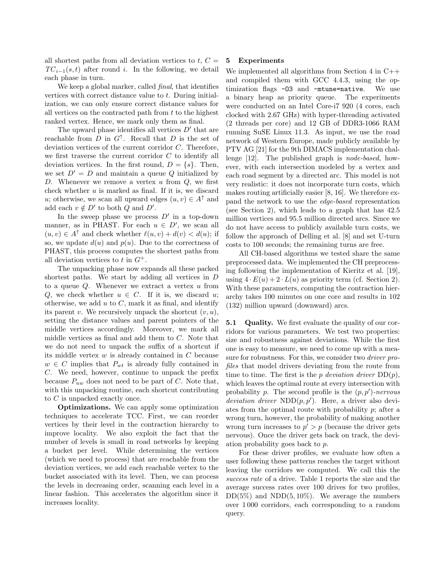all shortest paths from all deviation vertices to  $t, C =$  $TC_{i-1}(s,t)$  after round i. In the following, we detail each phase in turn.

We keep a global marker, called *final*, that identifies vertices with correct distance value to  $t$ . During initialization, we can only ensure correct distance values for all vertices on the contracted path from  $t$  to the highest ranked vertex. Hence, we mark only them as final.

The upward phase identifies all vertices  $D'$  that are reachable from  $D$  in  $G^{\uparrow}$ . Recall that  $D$  is the set of deviation vertices of the current corridor C. Therefore, we first traverse the current corridor  $C$  to identify all deviation vertices. In the first round,  $D = \{s\}$ . Then, we set  $D' = D$  and maintain a queue Q initialized by D. Whenever we remove a vertex  $u$  from  $Q$ , we first check whether  $u$  is marked as final. If it is, we discard u; otherwise, we scan all upward edges  $(u, v) \in A^{\uparrow}$  and add each  $v \notin D'$  to both Q and D'.

In the sweep phase we process  $D'$  in a top-down manner, as in PHAST. For each  $u \in D'$ , we scan all  $(u, v) \in A^{\uparrow}$  and check whether  $\ell(u, v) + d(v) < d(u)$ ; if so, we update  $d(u)$  and  $p(u)$ . Due to the correctness of PHAST, this process computes the shortest paths from all deviation vertices to t in  $G^+$ .

The unpacking phase now expands all these packed shortest paths. We start by adding all vertices in D to a queue  $Q$ . Whenever we extract a vertex  $u$  from Q, we check whether  $u \in C$ . If it is, we discard u; otherwise, we add  $u$  to  $C$ , mark it as final, and identify its parent v. We recursively unpack the shortcut  $(v, u)$ , setting the distance values and parent pointers of the middle vertices accordingly. Moreover, we mark all middle vertices as final and add them to C. Note that we do not need to unpack the suffix of a shortcut if its middle vertex  $w$  is already contained in  $C$  because  $w \in C$  implies that  $P_{wt}$  is already fully contained in C. We need, however, continue to unpack the prefix because  $P_{uw}$  does not need to be part of C. Note that, with this unpacking routine, each shortcut contributing to C is unpacked exactly once.

Optimizations. We can apply some optimization techniques to accelerate TCC. First, we can reorder vertices by their level in the contraction hierarchy to improve locality. We also exploit the fact that the number of levels is small in road networks by keeping a bucket per level. While determining the vertices (which we need to process) that are reachable from the deviation vertices, we add each reachable vertex to the bucket associated with its level. Then, we can process the levels in decreasing order, scanning each level in a linear fashion. This accelerates the algorithm since it increases locality.

## 5 Experiments

We implemented all algorithms from Section 4 in C++ and compiled them with GCC 4.4.3, using the optimization flags -O3 and -mtune=native. We use a binary heap as priority queue. The experiments were conducted on an Intel Core-i7 920 (4 cores, each clocked with 2.67 GHz) with hyper-threading activated (2 threads per core) and 12 GB of DDR3-1066 RAM running SuSE Linux 11.3. As input, we use the road network of Western Europe, made publicly available by PTV AG [21] for the 9th DIMACS implementation challenge [12]. The published graph is node-based, however, with each intersection modeled by a vertex and each road segment by a directed arc. This model is not very realistic: it does not incorporate turn costs, which makes routing artificially easier [8, 16]. We therefore expand the network to use the edge-based representation (see Section 2), which leads to a graph that has 42.5 million vertices and 95.5 million directed arcs. Since we do not have access to publicly available turn costs, we follow the approach of Delling et al. [8] and set U-turn costs to 100 seconds; the remaining turns are free.

All CH-based algorithms we tested share the same preprocessed data. We implemented the CH preprocessing following the implementation of Kieritz et al. [19], using  $4 \cdot E(u) + 2 \cdot L(u)$  as priority term (cf. Section 2). With these parameters, computing the contraction hierarchy takes 100 minutes on one core and results in 102 (132) million upward (downward) arcs.

**5.1 Quality.** We first evaluate the quality of our corridors for various parameters. We test two properties: size and robustness against deviations. While the first one is easy to measure, we need to come up with a measure for robustness. For this, we consider two *driver pro*files that model drivers deviating from the route from time to time. The first is the p deviation driver  $DD(p)$ , which leaves the optimal route at every intersection with probability p. The second profile is the  $(p, p')$ -nervous deviation driver  $NDD(p, p')$ . Here, a driver also deviates from the optimal route with probability p; after a wrong turn, however, the probability of making another wrong turn increases to  $p' > p$  (because the driver gets nervous). Once the driver gets back on track, the deviation probability goes back to p.

For these driver profiles, we evaluate how often a user following these patterns reaches the target without leaving the corridors we computed. We call this the success rate of a drive. Table 1 reports the size and the average success rates over 100 drives for two profiles,  $DD(5\%)$  and  $NDD(5, 10\%)$ . We average the numbers over 1 000 corridors, each corresponding to a random query.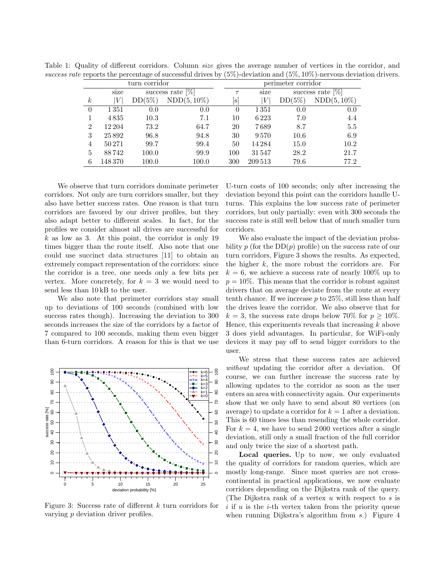| turn corridor    |         |                                    |                |          | perimeter corridor |                     |                |  |
|------------------|---------|------------------------------------|----------------|----------|--------------------|---------------------|----------------|--|
|                  | size    | success rate $\sqrt{\frac{1}{10}}$ |                | $\tau$   | size               | success rate $[\%]$ |                |  |
| $\boldsymbol{k}$ |         | $DD(5\%)$                          | $NDD(5, 10\%)$ | S        | V                  | $DD(5\%)$           | $NDD(5, 10\%)$ |  |
| $\theta$         | 1351    | 0.0                                | 0.0            | $\theta$ | 1351               | 0.0                 | 0.0            |  |
|                  | 4835    | 10.3                               | 7.1            | 10       | 6223               | 7.0                 | 4.4            |  |
| $\overline{2}$   | 12 204  | 73.2                               | 64.7           | 20       | 7689               | 8.7                 | 5.5            |  |
| 3                | 25892   | 96.8                               | 94.8           | 30       | 9570               | 10.6                | 6.9            |  |
| 4                | 50271   | 99.7                               | 99.4           | 50       | 14284              | 15.0                | 10.2           |  |
| 5                | 88742   | 100.0                              | 99.9           | 100      | 31547              | 28.2                | 21.7           |  |
| 6                | 148 370 | 100.0                              | 100.0          | 300      | 209 513            | 79.6                | 77.2           |  |

Table 1: Quality of different corridors. Column size gives the average number of vertices in the corridor, and success rate reports the percentage of successful drives by  $(5\%)$ -deviation and  $(5\%, 10\%)$ -nervous deviation drivers.

We observe that turn corridors dominate perimeter corridors. Not only are turn corridors smaller, but they also have better success rates. One reason is that turn corridors are favored by our driver profiles, but they also adapt better to different scales. In fact, for the profiles we consider almost all drives are successful for  $k$  as low as 3. At this point, the corridor is only 19 times bigger than the route itself. Also note that one could use succinct data structures [11] to obtain an extremely compact representation of the corridors: since the corridor is a tree, one needs only a few bits per vertex. More concretely, for  $k = 3$  we would need to send less than 10 kB to the user.

We also note that perimeter corridors stay small up to deviations of 100 seconds (combined with low success rates though). Increasing the deviation to 300 seconds increases the size of the corridors by a factor of 7 compared to 100 seconds, making them even bigger than 6-turn corridors. A reason for this is that we use



Figure 3: Success rate of different  $k$  turn corridors for varying p deviation driver profiles.

U-turn costs of 100 seconds; only after increasing the deviation beyond this point can the corridors handle Uturns. This explains the low success rate of perimeter corridors, but only partially: even with 300 seconds the success rate is still well below that of much smaller turn corridors.

We also evaluate the impact of the deviation probability p (for the  $DD(p)$  profile) on the success rate of our turn corridors, Figure 3 shows the results. As expected, the higher  $k$ , the more robust the corridors are. For  $k = 6$ , we achieve a success rate of nearly 100% up to  $p = 10\%$ . This means that the corridor is robust against drivers that on average deviate from the route at every tenth chance. If we increase  $p$  to 25%, still less than half the drives leave the corridor. We also observe that for  $k = 3$ , the success rate drops below 70% for  $p \geq 10\%$ . Hence, this experiments reveals that increasing  $k$  above 3 does yield advantages. In particular, for WiFi-only devices it may pay off to send bigger corridors to the user.

We stress that these success rates are achieved without updating the corridor after a deviation. Of course, we can further increase the success rate by allowing updates to the corridor as soon as the user enters an area with connectivity again. Our experiments show that we only have to send about 80 vertices (on average) to update a corridor for  $k = 1$  after a deviation. This is 60 times less than resending the whole corridor. For  $k = 4$ , we have to send 2000 vertices after a single deviation, still only a small fraction of the full corridor and only twice the size of a shortest path.

Local queries. Up to now, we only evaluated the quality of corridors for random queries, which are mostly long-range. Since most queries are not crosscontinental in practical applications, we now evaluate corridors depending on the Dijkstra rank of the query. (The Dijkstra rank of a vertex  $u$  with respect to  $s$  is  $i$  if u is the  $i$ -th vertex taken from the priority queue when running Dijkstra's algorithm from s.) Figure 4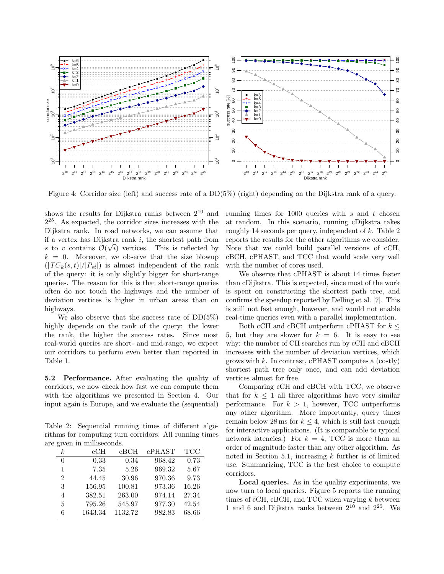

Figure 4: Corridor size (left) and success rate of a DD(5%) (right) depending on the Dijkstra rank of a query.

shows the results for Dijkstra ranks between  $2^{10}$  and 2 <sup>25</sup>. As expected, the corridor sizes increases with the Dijkstra rank. In road networks, we can assume that if a vertex has Dijkstra rank i, the shortest path from s to v contains  $\mathcal{O}(\sqrt{i})$  vertices. This is reflected by  $k = 0$ . Moreover, we observe that the size blowup  $(|TC_k(s,t)|/|P_{st}|)$  is almost independent of the rank of the query: it is only slightly bigger for short-range queries. The reason for this is that short-range queries often do not touch the highways and the number of deviation vertices is higher in urban areas than on highways.

We also observe that the success rate of  $DD(5\%)$ highly depends on the rank of the query: the lower the rank, the higher the success rates. Since most real-world queries are short- and mid-range, we expect our corridors to perform even better than reported in Table 1.

5.2 Performance. After evaluating the quality of corridors, we now check how fast we can compute them with the algorithms we presented in Section 4. Our input again is Europe, and we evaluate the (sequential)

Table 2: Sequential running times of different algorithms for computing turn corridors. All running times are given in milliseconds.

| o-               |         |         |        |            |
|------------------|---------|---------|--------|------------|
| $\boldsymbol{k}$ | cCH     | $c$ BCH | cPHAST | <b>TCC</b> |
| $\theta$         | 0.33    | 0.34    | 968.42 | 0.73       |
| 1                | 7.35    | 5.26    | 969.32 | 5.67       |
| $\overline{2}$   | 44.45   | 30.96   | 970.36 | 9.73       |
| 3                | 156.95  | 100.81  | 973.36 | 16.26      |
| 4                | 382.51  | 263.00  | 974.14 | 27.34      |
| 5                | 795.26  | 545.97  | 977.30 | 42.54      |
| 6                | 1643.34 | 1132.72 | 982.83 | 68.66      |

running times for 1000 queries with s and t chosen at random. In this scenario, running cDijkstra takes roughly 14 seconds per query, independent of  $k$ . Table 2 reports the results for the other algorithms we consider. Note that we could build parallel versions of cCH, cBCH, cPHAST, and TCC that would scale very well with the number of cores used.

We observe that cPHAST is about 14 times faster than cDijkstra. This is expected, since most of the work is spent on constructing the shortest path tree, and confirms the speedup reported by Delling et al. [7]. This is still not fast enough, however, and would not enable real-time queries even with a parallel implementation.

Both cCH and cBCH outperform cPHAST for  $k \leq$ 5, but they are slower for  $k = 6$ . It is easy to see why: the number of CH searches run by cCH and cBCH increases with the number of deviation vertices, which grows with  $k$ . In contrast, cPHAST computes a (costly) shortest path tree only once, and can add deviation vertices almost for free.

Comparing cCH and cBCH with TCC, we observe that for  $k \leq 1$  all three algorithms have very similar performance. For  $k > 1$ , however, TCC outperforms any other algorithm. More importantly, query times remain below 28 ms for  $k \leq 4$ , which is still fast enough for interactive applications. (It is comparable to typical network latencies.) For  $k = 4$ , TCC is more than an order of magnitude faster than any other algorithm. As noted in Section 5.1, increasing  $k$  further is of limited use. Summarizing, TCC is the best choice to compute corridors.

Local queries. As in the quality experiments, we now turn to local queries. Figure 5 reports the running times of cCH, cBCH, and TCC when varying  $k$  between 1 and 6 and Dijkstra ranks between  $2^{10}$  and  $2^{25}$ . We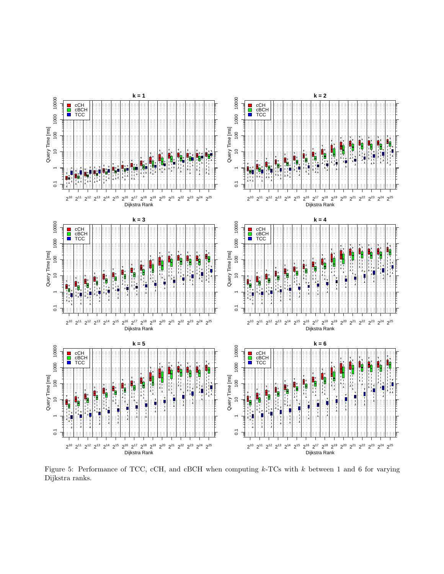

Figure 5: Performance of TCC, cCH, and cBCH when computing  $k$ -TCs with  $k$  between 1 and 6 for varying Dijkstra ranks.